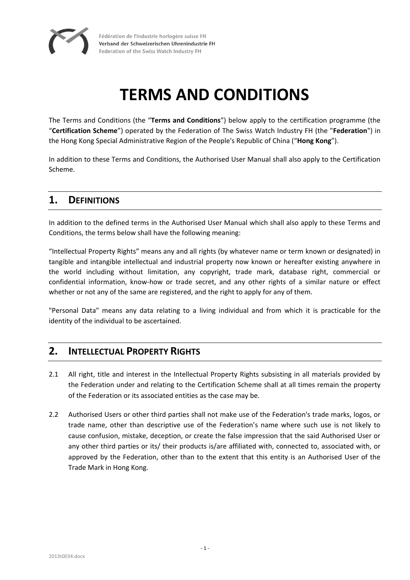

Fédération de l'industrie horlogère suisse FH Verband der Schweizerischen Uhrenindustrie FH Federation of the Swiss Watch Industry FH

# **TERMS AND CONDITIONS**

The Terms and Conditions (the "**Terms and Conditions**") below apply to the certification programme (the "**Certification Scheme**") operated by the Federation of The Swiss Watch Industry FH (the "**Federation**") in the Hong Kong Special Administrative Region of the People's Republic of China ("**Hong Kong**").

In addition to these Terms and Conditions, the Authorised User Manual shall also apply to the Certification Scheme.

#### **1. DEFINITIONS**

In addition to the defined terms in the Authorised User Manual which shall also apply to these Terms and Conditions, the terms below shall have the following meaning:

"Intellectual Property Rights" means any and all rights (by whatever name or term known or designated) in tangible and intangible intellectual and industrial property now known or hereafter existing anywhere in the world including without limitation, any copyright, trade mark, database right, commercial or confidential information, know-how or trade secret, and any other rights of a similar nature or effect whether or not any of the same are registered, and the right to apply for any of them.

"Personal Data" means any data relating to a living individual and from which it is practicable for the identity of the individual to be ascertained.

# **2. INTELLECTUAL PROPERTY RIGHTS**

- 2.1 All right, title and interest in the Intellectual Property Rights subsisting in all materials provided by the Federation under and relating to the Certification Scheme shall at all times remain the property of the Federation or its associated entities as the case may be.
- 2.2 Authorised Users or other third parties shall not make use of the Federation's trade marks, logos, or trade name, other than descriptive use of the Federation's name where such use is not likely to cause confusion, mistake, deception, or create the false impression that the said Authorised User or any other third parties or its/ their products is/are affiliated with, connected to, associated with, or approved by the Federation, other than to the extent that this entity is an Authorised User of the Trade Mark in Hong Kong.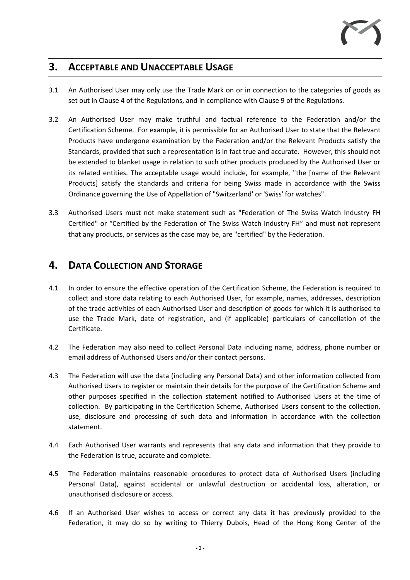# **3. ACCEPTABLE AND UNACCEPTABLE USAGE**

- 3.1 An Authorised User may only use the Trade Mark on or in connection to the categories of goods as set out in Clause 4 of the Regulations, and in compliance with Clause 9 of the Regulations.
- 3.2 An Authorised User may make truthful and factual reference to the Federation and/or the Certification Scheme. For example, it is permissible for an Authorised User to state that the Relevant Products have undergone examination by the Federation and/or the Relevant Products satisfy the Standards, provided that such a representation is in fact true and accurate. However, this should not be extended to blanket usage in relation to such other products produced by the Authorised User or its related entities. The acceptable usage would include, for example, "the [name of the Relevant Products] satisfy the standards and criteria for being Swiss made in accordance with the Swiss Ordinance governing the Use of Appellation of "Switzerland' or 'Swiss' for watches".
- 3.3 Authorised Users must not make statement such as "Federation of The Swiss Watch Industry FH Certified" or "Certified by the Federation of The Swiss Watch Industry FH" and must not represent that any products, or services as the case may be, are "certified" by the Federation.

# **4. DATA COLLECTION AND STORAGE**

- 4.1 In order to ensure the effective operation of the Certification Scheme, the Federation is required to collect and store data relating to each Authorised User, for example, names, addresses, description of the trade activities of each Authorised User and description of goods for which it is authorised to use the Trade Mark, date of registration, and (if applicable) particulars of cancellation of the Certificate.
- 4.2 The Federation may also need to collect Personal Data including name, address, phone number or email address of Authorised Users and/or their contact persons.
- 4.3 The Federation will use the data (including any Personal Data) and other information collected from Authorised Users to register or maintain their details for the purpose of the Certification Scheme and other purposes specified in the collection statement notified to Authorised Users at the time of collection. By participating in the Certification Scheme, Authorised Users consent to the collection, use, disclosure and processing of such data and information in accordance with the collection statement.
- 4.4 Each Authorised User warrants and represents that any data and information that they provide to the Federation is true, accurate and complete.
- 4.5 The Federation maintains reasonable procedures to protect data of Authorised Users (including Personal Data), against accidental or unlawful destruction or accidental loss, alteration, or unauthorised disclosure or access.
- 4.6 If an Authorised User wishes to access or correct any data it has previously provided to the Federation, it may do so by writing to Thierry Dubois, Head of the Hong Kong Center of the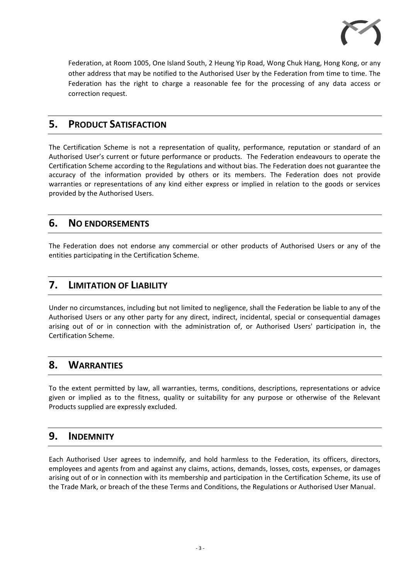

Federation, at Room 1005, One Island South, 2 Heung Yip Road, Wong Chuk Hang, Hong Kong, or any other address that may be notified to the Authorised User by the Federation from time to time. The Federation has the right to charge a reasonable fee for the processing of any data access or correction request.

# **5. PRODUCT SATISFACTION**

The Certification Scheme is not a representation of quality, performance, reputation or standard of an Authorised User's current or future performance or products. The Federation endeavours to operate the Certification Scheme according to the Regulations and without bias. The Federation does not guarantee the accuracy of the information provided by others or its members. The Federation does not provide warranties or representations of any kind either express or implied in relation to the goods or services provided by the Authorised Users.

# **6. NO ENDORSEMENTS**

The Federation does not endorse any commercial or other products of Authorised Users or any of the entities participating in the Certification Scheme.

# **7. LIMITATION OF LIABILITY**

Under no circumstances, including but not limited to negligence, shall the Federation be liable to any of the Authorised Users or any other party for any direct, indirect, incidental, special or consequential damages arising out of or in connection with the administration of, or Authorised Users' participation in, the Certification Scheme.

#### **8. WARRANTIES**

To the extent permitted by law, all warranties, terms, conditions, descriptions, representations or advice given or implied as to the fitness, quality or suitability for any purpose or otherwise of the Relevant Products supplied are expressly excluded.

# **9. INDEMNITY**

Each Authorised User agrees to indemnify, and hold harmless to the Federation, its officers, directors, employees and agents from and against any claims, actions, demands, losses, costs, expenses, or damages arising out of or in connection with its membership and participation in the Certification Scheme, its use of the Trade Mark, or breach of the these Terms and Conditions, the Regulations or Authorised User Manual.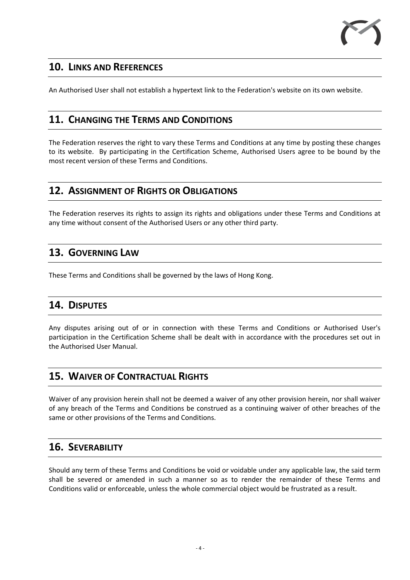

# **10. LINKS AND REFERENCES**

An Authorised User shall not establish a hypertext link to the Federation's website on its own website.

# **11. CHANGING THE TERMS AND CONDITIONS**

The Federation reserves the right to vary these Terms and Conditions at any time by posting these changes to its website. By participating in the Certification Scheme, Authorised Users agree to be bound by the most recent version of these Terms and Conditions.

# **12. ASSIGNMENT OF RIGHTS OR OBLIGATIONS**

The Federation reserves its rights to assign its rights and obligations under these Terms and Conditions at any time without consent of the Authorised Users or any other third party.

# **13. GOVERNING LAW**

These Terms and Conditions shall be governed by the laws of Hong Kong.

# **14. DISPUTES**

Any disputes arising out of or in connection with these Terms and Conditions or Authorised User's participation in the Certification Scheme shall be dealt with in accordance with the procedures set out in the Authorised User Manual.

# **15. WAIVER OF CONTRACTUAL RIGHTS**

Waiver of any provision herein shall not be deemed a waiver of any other provision herein, nor shall waiver of any breach of the Terms and Conditions be construed as a continuing waiver of other breaches of the same or other provisions of the Terms and Conditions.

# **16. SEVERABILITY**

Should any term of these Terms and Conditions be void or voidable under any applicable law, the said term shall be severed or amended in such a manner so as to render the remainder of these Terms and Conditions valid or enforceable, unless the whole commercial object would be frustrated as a result.